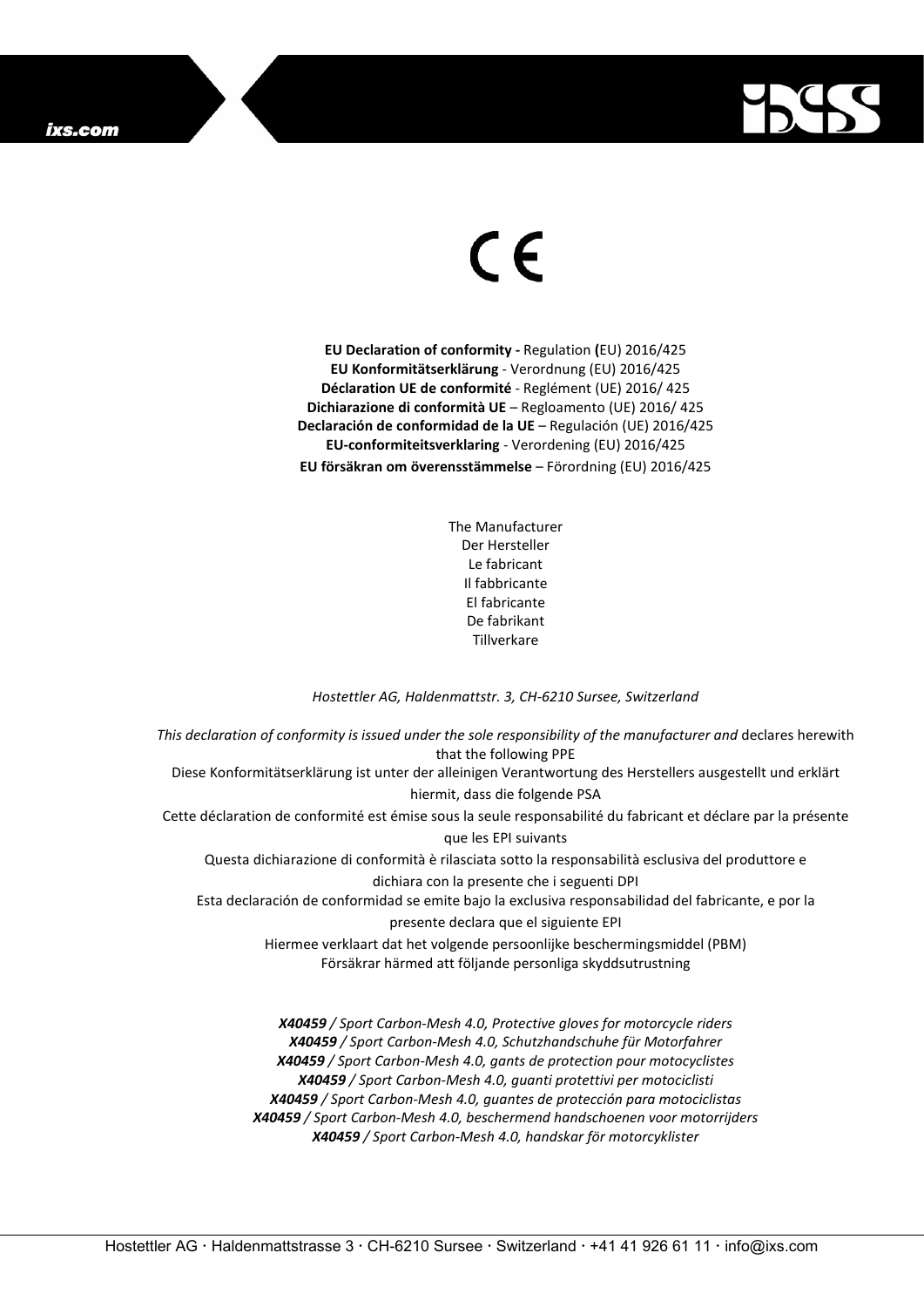

# $\epsilon$

**EU Declaration of conformity -** Regulation **(**EU) 2016/425 **EU Konformitätserklärung** - Verordnung (EU) 2016/425 **Déclaration UE de conformité** - Reglément (UE) 2016/ 425 **Dichiarazione di conformità UE** – Regloamento (UE) 2016/ 425 **Declaración de conformidad de la UE** – Regulación (UE) 2016/425 **EU-conformiteitsverklaring** - Verordening (EU) 2016/425 **EU försäkran om överensstämmelse** – Förordning (EU) 2016/425

> The Manufacturer Der Hersteller Le fabricant Il fabbricante El fabricante De fabrikant Tillverkare

#### *Hostettler AG, Haldenmattstr. 3, CH-6210 Sursee, Switzerland*

*This declaration of conformity is issued under the sole responsibility of the manufacturer and* declares herewith that the following PPE Diese Konformitätserklärung ist unter der alleinigen Verantwortung des Herstellers ausgestellt und erklärt hiermit, dass die folgende PSA Cette déclaration de conformité est émise sous la seule responsabilité du fabricant et déclare par la présente que les EPI suivants Questa dichiarazione di conformità è rilasciata sotto la responsabilità esclusiva del produttore e dichiara con la presente che i seguenti DPI Esta declaración de conformidad se emite bajo la exclusiva responsabilidad del fabricante, e por la presente declara que el siguiente EPI Hiermee verklaart dat het volgende persoonlijke beschermingsmiddel (PBM) Försäkrar härmed att följande personliga skyddsutrustning *X40459 / Sport Carbon-Mesh 4.0, Protective gloves for motorcycle riders X40459 / Sport Carbon-Mesh 4.0, Schutzhandschuhe für Motorfahrer X40459 / Sport Carbon-Mesh 4.0, gants de protection pour motocyclistes*

> *X40459 / Sport Carbon-Mesh 4.0, guanti protettivi per motociclisti X40459 / Sport Carbon-Mesh 4.0, guantes de protección para motociclistas X40459 / Sport Carbon-Mesh 4.0, beschermend handschoenen voor motorrijders*

*X40459 / Sport Carbon-Mesh 4.0, handskar för motorcyklister*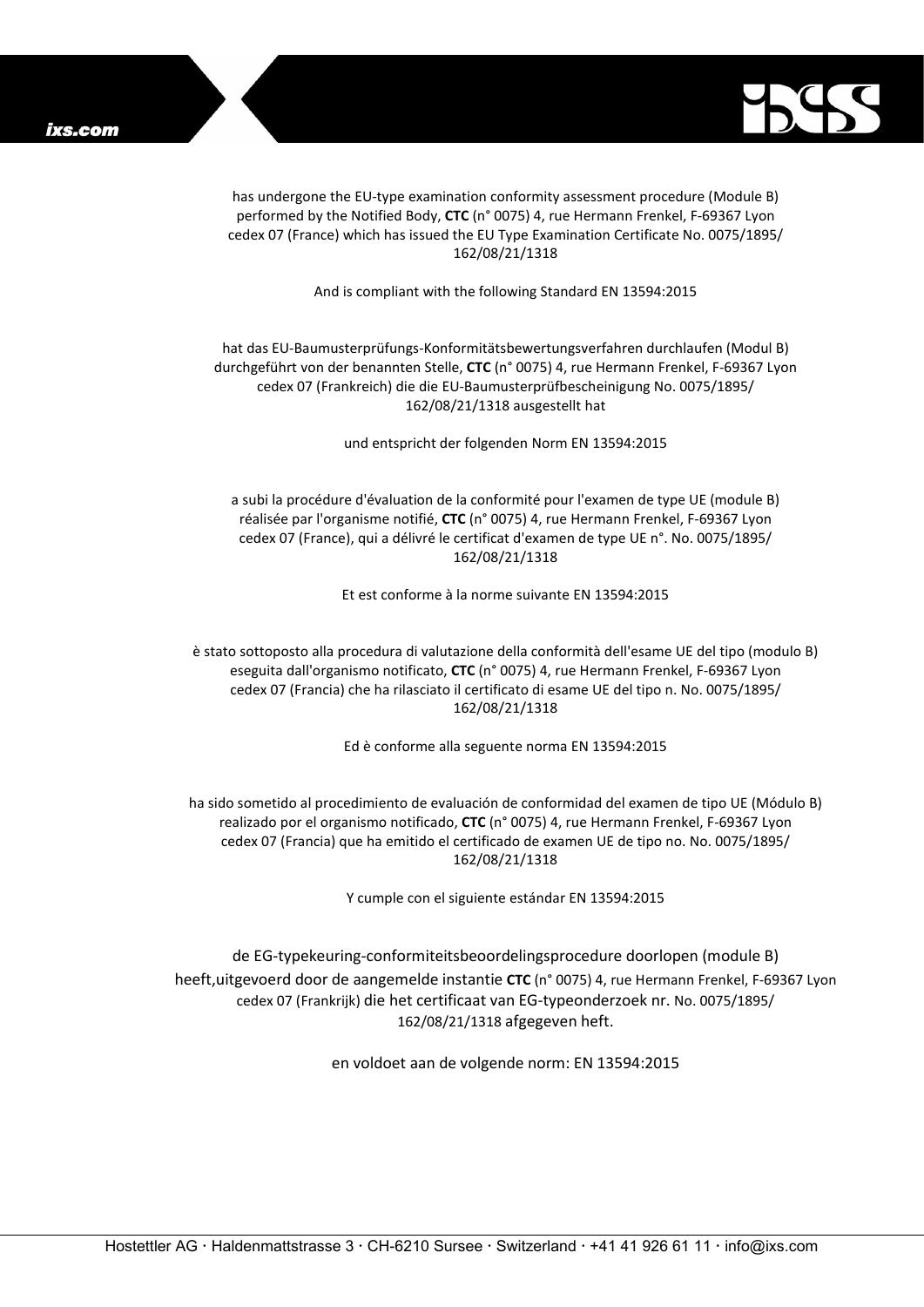

has undergone the EU-type examination conformity assessment procedure (Module B) performed by the Notified Body, **CTC** (n° 0075) 4, rue Hermann Frenkel, F-69367 Lyon cedex 07 (France) which has issued the EU Type Examination Certificate No. 0075/1895/ 162/08/21/1318

And is compliant with the following Standard EN 13594:2015

### hat das EU-Baumusterprüfungs-Konformitätsbewertungsverfahren durchlaufen (Modul B) durchgeführt von der benannten Stelle, **CTC** (n° 0075) 4, rue Hermann Frenkel, F-69367 Lyon cedex 07 (Frankreich) die die EU-Baumusterprüfbescheinigung No. 0075/1895/ 162/08/21/1318 ausgestellt hat

und entspricht der folgenden Norm EN 13594:2015

a subi la procédure d'évaluation de la conformité pour l'examen de type UE (module B) réalisée par l'organisme notifié, **CTC** (n° 0075) 4, rue Hermann Frenkel, F-69367 Lyon cedex 07 (France), qui a délivré le certificat d'examen de type UE n°. No. 0075/1895/ 162/08/21/1318

Et est conforme à la norme suivante EN 13594:2015

è stato sottoposto alla procedura di valutazione della conformità dell'esame UE del tipo (modulo B) eseguita dall'organismo notificato, **CTC** (n° 0075) 4, rue Hermann Frenkel, F-69367 Lyon cedex 07 (Francia) che ha rilasciato il certificato di esame UE del tipo n. No. 0075/1895/ 162/08/21/1318

Ed è conforme alla seguente norma EN 13594:2015

ha sido sometido al procedimiento de evaluación de conformidad del examen de tipo UE (Módulo B) realizado por el organismo notificado, **CTC** (n° 0075) 4, rue Hermann Frenkel, F-69367 Lyon cedex 07 (Francia) que ha emitido el certificado de examen UE de tipo no. No. 0075/1895/ 162/08/21/1318

Y cumple con el siguiente estándar EN 13594:2015

de EG-typekeuring-conformiteitsbeoordelingsprocedure doorlopen (module B) heeft,uitgevoerd door de aangemelde instantie **CTC** (n° 0075) 4, rue Hermann Frenkel, F-69367 Lyon cedex 07 (Frankrijk) die het certificaat van EG-typeonderzoek nr. No. 0075/1895/ 162/08/21/1318 afgegeven heft.

en voldoet aan de volgende norm: EN 13594:2015